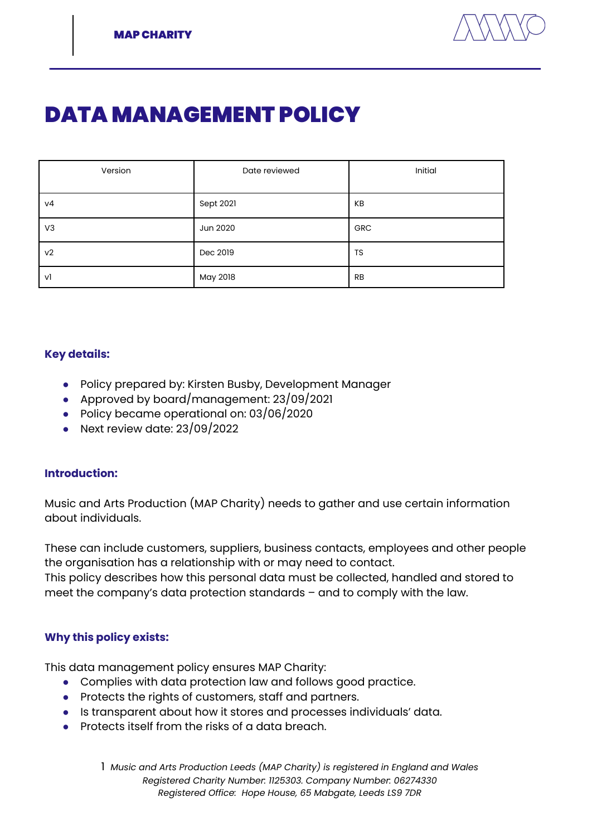

# DATA MANAGEMENT POLICY

| Version        | Date reviewed | Initial    |
|----------------|---------------|------------|
| ν4             | Sept 2021     | KB         |
| V <sub>3</sub> | Jun 2020      | <b>GRC</b> |
| V <sub>2</sub> | Dec 2019      | TS         |
| v1             | May 2018      | <b>RB</b>  |

#### **Key details:**

- Policy prepared by: Kirsten Busby, Development Manager
- Approved by board/management: 23/09/2021
- Policy became operational on: 03/06/2020
- Next review date: 23/09/2022

#### **Introduction:**

Music and Arts Production (MAP Charity) needs to gather and use certain information about individuals.

These can include customers, suppliers, business contacts, employees and other people the organisation has a relationship with or may need to contact.

This policy describes how this personal data must be collected, handled and stored to meet the company's data protection standards – and to comply with the law.

## **Why this policy exists:**

This data management policy ensures MAP Charity:

- Complies with data protection law and follows good practice.
- Protects the rights of customers, staff and partners.
- Is transparent about how it stores and processes individuals' data.
- Protects itself from the risks of a data breach.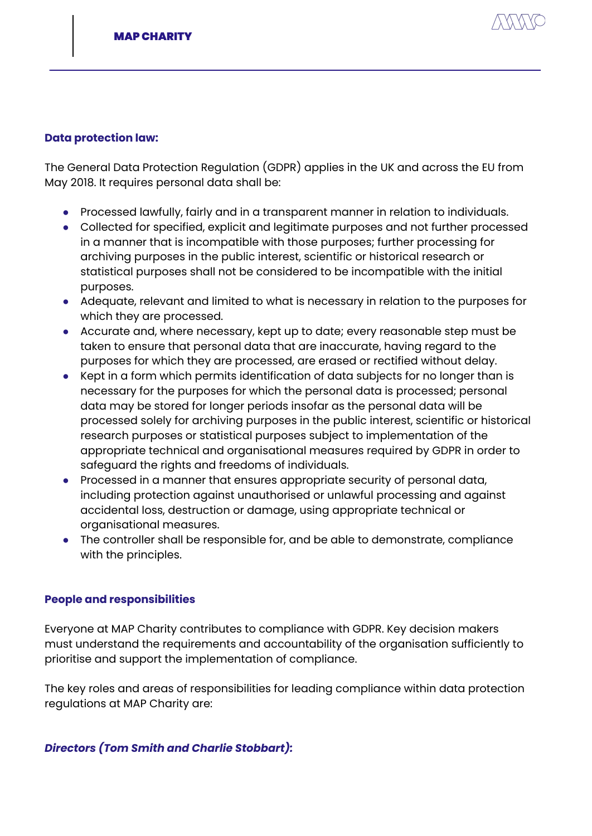

#### **Data protection law:**

The General Data Protection Regulation (GDPR) applies in the UK and across the EU from May 2018. It requires personal data shall be:

- Processed lawfully, fairly and in a transparent manner in relation to individuals.
- Collected for specified, explicit and legitimate purposes and not further processed in a manner that is incompatible with those purposes; further processing for archiving purposes in the public interest, scientific or historical research or statistical purposes shall not be considered to be incompatible with the initial purposes.
- Adequate, relevant and limited to what is necessary in relation to the purposes for which they are processed.
- Accurate and, where necessary, kept up to date; every reasonable step must be taken to ensure that personal data that are inaccurate, having regard to the purposes for which they are processed, are erased or rectified without delay.
- Kept in a form which permits identification of data subjects for no longer than is necessary for the purposes for which the personal data is processed; personal data may be stored for longer periods insofar as the personal data will be processed solely for archiving purposes in the public interest, scientific or historical research purposes or statistical purposes subject to implementation of the appropriate technical and organisational measures required by GDPR in order to safeguard the rights and freedoms of individuals.
- Processed in a manner that ensures appropriate security of personal data, including protection against unauthorised or unlawful processing and against accidental loss, destruction or damage, using appropriate technical or organisational measures.
- The controller shall be responsible for, and be able to demonstrate, compliance with the principles.

#### **People and responsibilities**

Everyone at MAP Charity contributes to compliance with GDPR. Key decision makers must understand the requirements and accountability of the organisation sufficiently to prioritise and support the implementation of compliance.

The key roles and areas of responsibilities for leading compliance within data protection regulations at MAP Charity are:

#### *Directors (Tom Smith and Charlie Stobbart):*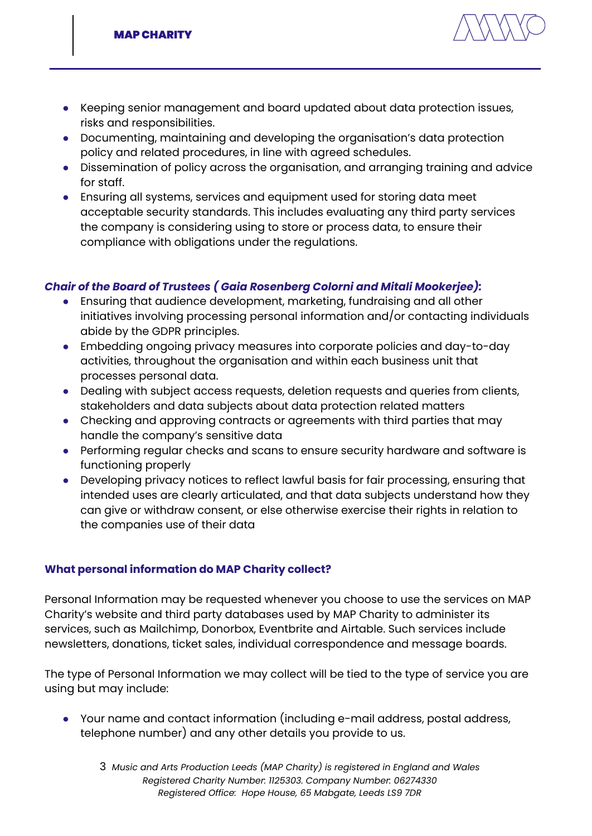

- Keeping senior management and board updated about data protection issues, risks and responsibilities.
- Documenting, maintaining and developing the organisation's data protection policy and related procedures, in line with agreed schedules.
- Dissemination of policy across the organisation, and arranging training and advice for staff.
- Ensuring all systems, services and equipment used for storing data meet acceptable security standards. This includes evaluating any third party services the company is considering using to store or process data, to ensure their compliance with obligations under the regulations.

## *Chair of the Board of Trustees ( Gaia Rosenberg Colorni and Mitali Mookerjee):*

- Ensuring that audience development, marketing, fundraising and all other initiatives involving processing personal information and/or contacting individuals abide by the GDPR principles.
- Embedding ongoing privacy measures into corporate policies and day-to-day activities, throughout the organisation and within each business unit that processes personal data.
- Dealing with subject access requests, deletion requests and queries from clients, stakeholders and data subjects about data protection related matters
- Checking and approving contracts or agreements with third parties that may handle the company's sensitive data
- Performing regular checks and scans to ensure security hardware and software is functioning properly
- Developing privacy notices to reflect lawful basis for fair processing, ensuring that intended uses are clearly articulated, and that data subjects understand how they can give or withdraw consent, or else otherwise exercise their rights in relation to the companies use of their data

## **What personal information do MAP Charity collect?**

Personal Information may be requested whenever you choose to use the services on MAP Charity's website and third party databases used by MAP Charity to administer its services, such as Mailchimp, Donorbox, Eventbrite and Airtable. Such services include newsletters, donations, ticket sales, individual correspondence and message boards.

The type of Personal Information we may collect will be tied to the type of service you are using but may include:

● Your name and contact information (including e-mail address, postal address, telephone number) and any other details you provide to us.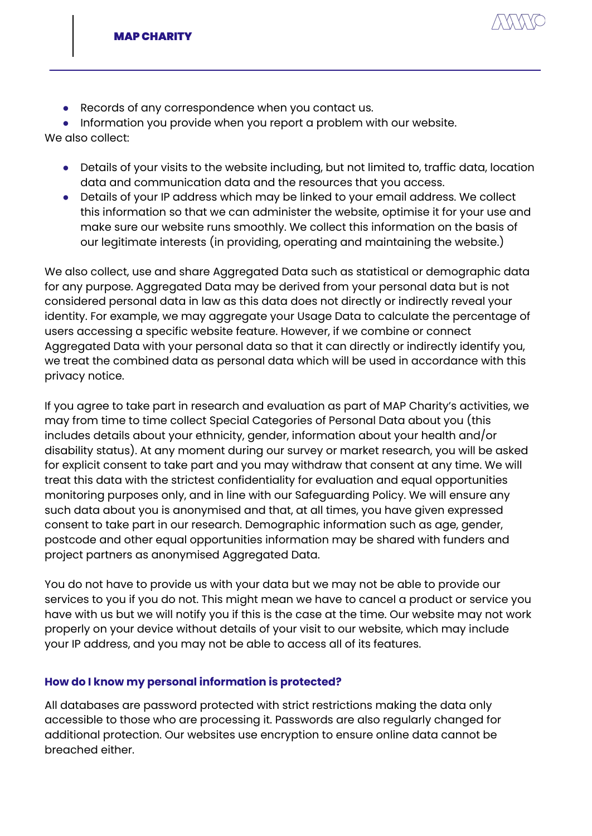

● Records of any correspondence when you contact us.

● Information you provide when you report a problem with our website.

We also collect:

- Details of your visits to the website including, but not limited to, traffic data, location data and communication data and the resources that you access.
- Details of your IP address which may be linked to your email address. We collect this information so that we can administer the website, optimise it for your use and make sure our website runs smoothly. We collect this information on the basis of our legitimate interests (in providing, operating and maintaining the website.)

We also collect, use and share Aggregated Data such as statistical or demographic data for any purpose. Aggregated Data may be derived from your personal data but is not considered personal data in law as this data does not directly or indirectly reveal your identity. For example, we may aggregate your Usage Data to calculate the percentage of users accessing a specific website feature. However, if we combine or connect Aggregated Data with your personal data so that it can directly or indirectly identify you, we treat the combined data as personal data which will be used in accordance with this privacy notice.

If you agree to take part in research and evaluation as part of MAP Charity's activities, we may from time to time collect Special Categories of Personal Data about you (this includes details about your ethnicity, gender, information about your health and/or disability status). At any moment during our survey or market research, you will be asked for explicit consent to take part and you may withdraw that consent at any time. We will treat this data with the strictest confidentiality for evaluation and equal opportunities monitoring purposes only, and in line with our Safeguarding Policy. We will ensure any such data about you is anonymised and that, at all times, you have given expressed consent to take part in our research. Demographic information such as age, gender, postcode and other equal opportunities information may be shared with funders and project partners as anonymised Aggregated Data.

You do not have to provide us with your data but we may not be able to provide our services to you if you do not. This might mean we have to cancel a product or service you have with us but we will notify you if this is the case at the time. Our website may not work properly on your device without details of your visit to our website, which may include your IP address, and you may not be able to access all of its features.

## **How do I know my personal information is protected?**

All databases are password protected with strict restrictions making the data only accessible to those who are processing it. Passwords are also regularly changed for additional protection. Our websites use encryption to ensure online data cannot be breached either.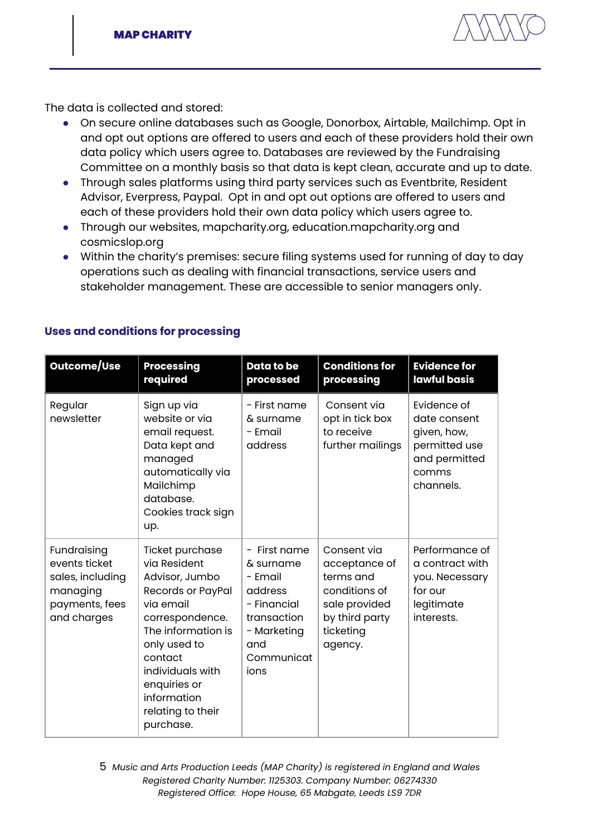

The data is collected and stored:

- On secure online databases such as Google, Donorbox, Airtable, Mailchimp. Opt in and opt out options are offered to users and each of these providers hold their own data policy which users agree to. Databases are reviewed by the Fundraising Committee on a monthly basis so that data is kept clean, accurate and up to date.
- Through sales platforms using third party services such as Eventbrite, Resident Advisor, Everpress, Paypal. Opt in and opt out options are offered to users and each of these providers hold their own data policy which users agree to.
- Through our websites, mapcharity.org, education.mapcharity.org and cosmicslop.org
- Within the charity's premises: secure filing systems used for running of day to day operations such as dealing with financial transactions, service users and stakeholder management. These are accessible to senior managers only.

| Outcome/Use                                                                                   | <b>Processing</b><br>required                                                                                                                                                                                                                | Data to be<br>processed                                                                                                                             | <b>Conditions for</b><br>processing                                                                                   | <b>Evidence for</b><br><b>lawful basis</b>                                                         |
|-----------------------------------------------------------------------------------------------|----------------------------------------------------------------------------------------------------------------------------------------------------------------------------------------------------------------------------------------------|-----------------------------------------------------------------------------------------------------------------------------------------------------|-----------------------------------------------------------------------------------------------------------------------|----------------------------------------------------------------------------------------------------|
| Regular<br>newsletter                                                                         | Sign up via<br>website or via<br>email request.<br>Data kept and<br>managed<br>automatically via<br>Mailchimp<br>database.<br>Cookies track sign<br>up.                                                                                      | - First name<br>& surname<br>- Email<br>address                                                                                                     | Consent via<br>opt in tick box<br>to receive<br>further mailings                                                      | Fvidence of<br>date consent<br>given, how,<br>permitted use<br>and permitted<br>comms<br>channels. |
| Fundraising<br>events ticket<br>sales, including<br>managing<br>payments, fees<br>and charges | Ticket purchase<br>via Resident<br>Advisor, Jumbo<br>Records or PayPal<br>via email<br>correspondence.<br>The information is<br>only used to<br>contact<br>individuals with<br>enquiries or<br>information<br>relating to their<br>purchase. | First name<br>$\overline{\phantom{0}}$<br>& surname<br>- Email<br>address<br>- Financial<br>transaction<br>- Marketing<br>and<br>Communicat<br>ions | Consent via<br>acceptance of<br>terms and<br>conditions of<br>sale provided<br>by third party<br>ticketing<br>agency. | Performance of<br>a contract with<br>you. Necessary<br>for our<br>legitimate<br>interests.         |

## **Uses and conditions for processing**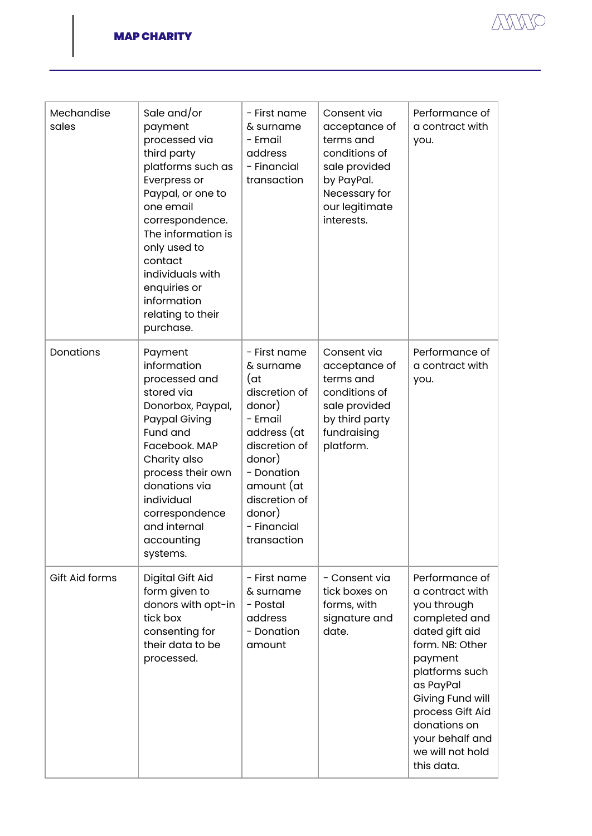

| Mechandise<br>sales | Sale and/or<br>payment<br>processed via<br>third party<br>platforms such as<br>Everpress or<br>Paypal, or one to<br>one email<br>correspondence.<br>The information is<br>only used to<br>contact<br>individuals with<br>enquiries or<br>information<br>relating to their<br>purchase. | - First name<br>& surname<br>- Email<br>address<br>- Financial<br>transaction                                                                                                                         | Consent via<br>acceptance of<br>terms and<br>conditions of<br>sale provided<br>by PayPal.<br>Necessary for<br>our legitimate<br>interests. | Performance of<br>a contract with<br>you.                                                                                                                                                                                                                     |
|---------------------|----------------------------------------------------------------------------------------------------------------------------------------------------------------------------------------------------------------------------------------------------------------------------------------|-------------------------------------------------------------------------------------------------------------------------------------------------------------------------------------------------------|--------------------------------------------------------------------------------------------------------------------------------------------|---------------------------------------------------------------------------------------------------------------------------------------------------------------------------------------------------------------------------------------------------------------|
| Donations           | Payment<br>information<br>processed and<br>stored via<br>Donorbox, Paypal,<br>Paypal Giving<br>Fund and<br>Facebook. MAP<br>Charity also<br>process their own<br>donations via<br>individual<br>correspondence<br>and internal<br>accounting<br>systems.                               | - First name<br>& surname<br>(at<br>discretion of<br>donor)<br>- Email<br>address (at<br>discretion of<br>donor)<br>- Donation<br>amount (at<br>discretion of<br>donor)<br>- Financial<br>transaction | Consent via<br>acceptance of<br>terms and<br>conditions of<br>sale provided<br>by third party<br>fundraising<br>platform.                  | Performance of<br>a contract with<br>you.                                                                                                                                                                                                                     |
| Gift Aid forms      | Digital Gift Aid<br>form given to<br>donors with opt-in<br>tick box<br>consenting for<br>their data to be<br>processed.                                                                                                                                                                | - First name<br>& surname<br>- Postal<br>address<br>- Donation<br>amount                                                                                                                              | - Consent via<br>tick boxes on<br>forms, with<br>signature and<br>date.                                                                    | Performance of<br>a contract with<br>you through<br>completed and<br>dated gift aid<br>form. NB: Other<br>payment<br>platforms such<br>as PayPal<br>Giving Fund will<br>process Gift Aid<br>donations on<br>your behalf and<br>we will not hold<br>this data. |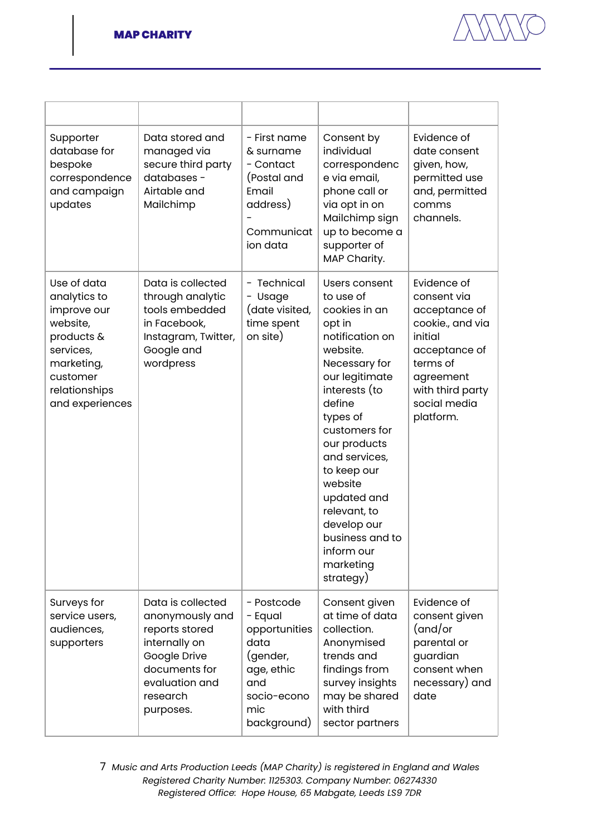

| Supporter<br>database for<br>bespoke<br>correspondence<br>and campaign<br>updates                                                               | Data stored and<br>managed via<br>secure third party<br>databases -<br>Airtable and<br>Mailchimp                                                    | - First name<br>& surname<br>- Contact<br>(Postal and<br>Email<br>address)<br>Communicat<br>ion data                 | Consent by<br>individual<br>correspondenc<br>e via email,<br>phone call or<br>via opt in on<br>Mailchimp sign<br>up to become a<br>supporter of<br>MAP Charity.                                                                                                                                                                                     | Evidence of<br>date consent<br>given, how,<br>permitted use<br>and, permitted<br>comms<br>channels.                                                                   |
|-------------------------------------------------------------------------------------------------------------------------------------------------|-----------------------------------------------------------------------------------------------------------------------------------------------------|----------------------------------------------------------------------------------------------------------------------|-----------------------------------------------------------------------------------------------------------------------------------------------------------------------------------------------------------------------------------------------------------------------------------------------------------------------------------------------------|-----------------------------------------------------------------------------------------------------------------------------------------------------------------------|
| Use of data<br>analytics to<br>improve our<br>website,<br>products &<br>services,<br>marketing,<br>customer<br>relationships<br>and experiences | Data is collected<br>through analytic<br>tools embedded<br>in Facebook,<br>Instagram, Twitter,<br>Google and<br>wordpress                           | Technical<br>-<br>Usage<br>$\qquad \qquad -$<br>(date visited,<br>time spent<br>on site)                             | Users consent<br>to use of<br>cookies in an<br>opt in<br>notification on<br>website.<br>Necessary for<br>our legitimate<br>interests (to<br>define<br>types of<br>customers for<br>our products<br>and services,<br>to keep our<br>website<br>updated and<br>relevant, to<br>develop our<br>business and to<br>inform our<br>marketing<br>strategy) | Evidence of<br>consent via<br>acceptance of<br>cookie., and via<br>initial<br>acceptance of<br>terms of<br>agreement<br>with third party<br>social media<br>platform. |
| Surveys for<br>service users,<br>audiences,<br>supporters                                                                                       | Data is collected<br>anonymously and<br>reports stored<br>internally on<br>Google Drive<br>documents for<br>evaluation and<br>research<br>purposes. | - Postcode<br>- Equal<br>opportunities<br>data<br>(gender,<br>age, ethic<br>and<br>socio-econo<br>mic<br>background) | Consent given<br>at time of data<br>collection.<br>Anonymised<br>trends and<br>findings from<br>survey insights<br>may be shared<br>with third<br>sector partners                                                                                                                                                                                   | Evidence of<br>consent given<br>(and/or<br>parental or<br>guardian<br>consent when<br>necessary) and<br>date                                                          |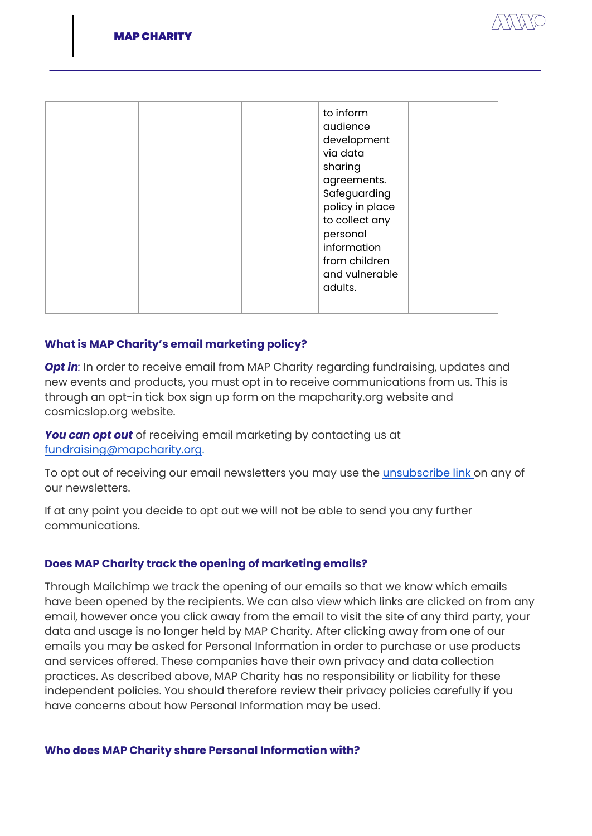

|  | to inform<br>audience<br>development<br>via data<br>sharing<br>agreements.<br>Safeguarding<br>policy in place<br>to collect any<br>personal<br>information<br>from children<br>and vulnerable<br>adults. |  |
|--|----------------------------------------------------------------------------------------------------------------------------------------------------------------------------------------------------------|--|
|  |                                                                                                                                                                                                          |  |

#### **What is MAP Charity's email marketing policy?**

*Opt in*: In order to receive email from MAP Charity regarding fundraising, updates and new events and products, you must opt in to receive communications from us. This is through an opt-in tick box sign up form on the mapcharity.org website and cosmicslop.org website.

*You can opt out* of receiving email marketing by contacting us at [fundraising@mapcharity.org.](mailto:fundraising@mapcharity.org)

To opt out of receiving our email newsletters you may use the [unsubscribe](https://mapcharity.us17.list-manage.com/unsubscribe?u=7c48b9f97219ed0a2b2924f89&id=3ae6d2692b&e=&c=a83cee7465) link on any of our newsletters.

If at any point you decide to opt out we will not be able to send you any further communications.

#### **Does MAP Charity track the opening of marketing emails?**

Through Mailchimp we track the opening of our emails so that we know which emails have been opened by the recipients. We can also view which links are clicked on from any email, however once you click away from the email to visit the site of any third party, your data and usage is no longer held by MAP Charity. After clicking away from one of our emails you may be asked for Personal Information in order to purchase or use products and services offered. These companies have their own privacy and data collection practices. As described above, MAP Charity has no responsibility or liability for these independent policies. You should therefore review their privacy policies carefully if you have concerns about how Personal Information may be used.

#### **Who does MAP Charity share Personal Information with?**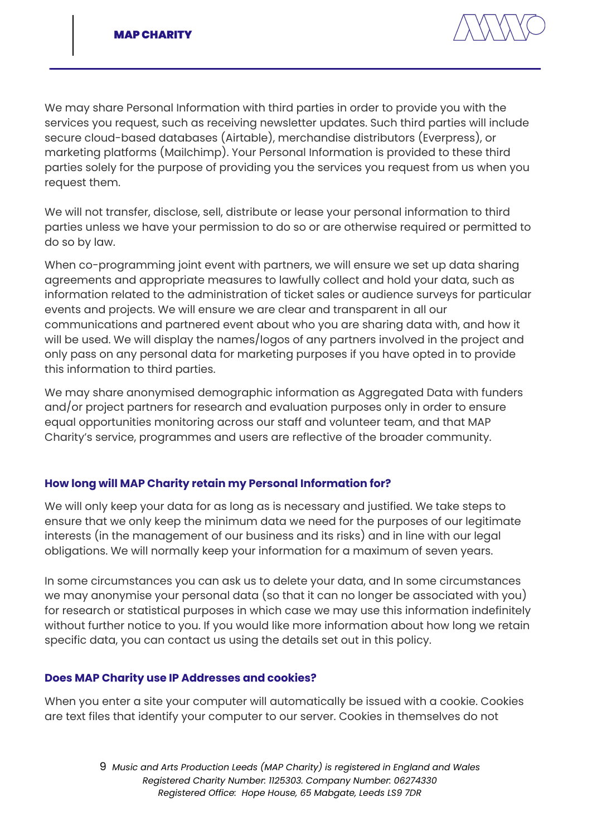

We may share Personal Information with third parties in order to provide you with the services you request, such as receiving newsletter updates. Such third parties will include secure cloud-based databases (Airtable), merchandise distributors (Everpress), or marketing platforms (Mailchimp). Your Personal Information is provided to these third parties solely for the purpose of providing you the services you request from us when you request them.

We will not transfer, disclose, sell, distribute or lease your personal information to third parties unless we have your permission to do so or are otherwise required or permitted to do so by law.

When co-programming joint event with partners, we will ensure we set up data sharing agreements and appropriate measures to lawfully collect and hold your data, such as information related to the administration of ticket sales or audience surveys for particular events and projects. We will ensure we are clear and transparent in all our communications and partnered event about who you are sharing data with, and how it will be used. We will display the names/logos of any partners involved in the project and only pass on any personal data for marketing purposes if you have opted in to provide this information to third parties.

We may share anonymised demographic information as Aggregated Data with funders and/or project partners for research and evaluation purposes only in order to ensure equal opportunities monitoring across our staff and volunteer team, and that MAP Charity's service, programmes and users are reflective of the broader community.

## **How long will MAP Charity retain my Personal Information for?**

We will only keep your data for as long as is necessary and justified. We take steps to ensure that we only keep the minimum data we need for the purposes of our legitimate interests (in the management of our business and its risks) and in line with our legal obligations. We will normally keep your information for a maximum of seven years.

In some circumstances you can ask us to delete your data, and In some circumstances we may anonymise your personal data (so that it can no longer be associated with you) for research or statistical purposes in which case we may use this information indefinitely without further notice to you. If you would like more information about how long we retain specific data, you can contact us using the details set out in this policy.

#### **Does MAP Charity use IP Addresses and cookies?**

When you enter a site your computer will automatically be issued with a cookie. Cookies are text files that identify your computer to our server. Cookies in themselves do not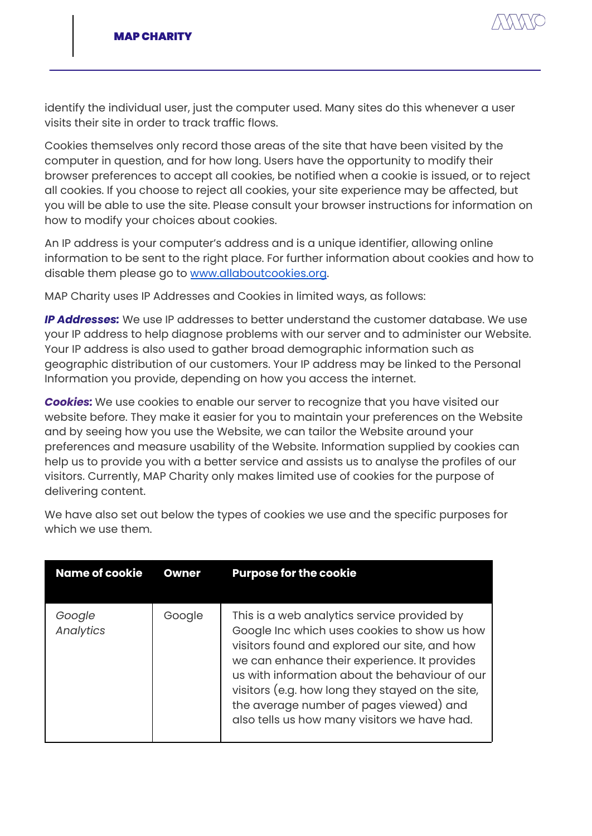

identify the individual user, just the computer used. Many sites do this whenever a user visits their site in order to track traffic flows.

Cookies themselves only record those areas of the site that have been visited by the computer in question, and for how long. Users have the opportunity to modify their browser preferences to accept all cookies, be notified when a cookie is issued, or to reject all cookies. If you choose to reject all cookies, your site experience may be affected, but you will be able to use the site. Please consult your browser instructions for information on how to modify your choices about cookies.

An IP address is your computer's address and is a unique identifier, allowing online information to be sent to the right place. For further information about cookies and how to disable them please go to [www.allaboutcookies.org](http://www.allaboutcookies.org).

MAP Charity uses IP Addresses and Cookies in limited ways, as follows:

*IP Addresses:* We use IP addresses to better understand the customer database. We use your IP address to help diagnose problems with our server and to administer our Website. Your IP address is also used to gather broad demographic information such as geographic distribution of our customers. Your IP address may be linked to the Personal Information you provide, depending on how you access the internet.

*Cookies:* We use cookies to enable our server to recognize that you have visited our website before. They make it easier for you to maintain your preferences on the Website and by seeing how you use the Website, we can tailor the Website around your preferences and measure usability of the Website. Information supplied by cookies can help us to provide you with a better service and assists us to analyse the profiles of our visitors. Currently, MAP Charity only makes limited use of cookies for the purpose of delivering content.

We have also set out below the types of cookies we use and the specific purposes for which we use them.

| <b>Name of cookie</b> | <b>Owner</b> | <b>Purpose for the cookie</b>                                                                                                                                                                                                                                                                                                                                                                 |
|-----------------------|--------------|-----------------------------------------------------------------------------------------------------------------------------------------------------------------------------------------------------------------------------------------------------------------------------------------------------------------------------------------------------------------------------------------------|
| Google<br>Analytics   | Google       | This is a web analytics service provided by<br>Google Inc which uses cookies to show us how<br>visitors found and explored our site, and how<br>we can enhance their experience. It provides<br>us with information about the behaviour of our<br>visitors (e.g. how long they stayed on the site,<br>the average number of pages viewed) and<br>also tells us how many visitors we have had. |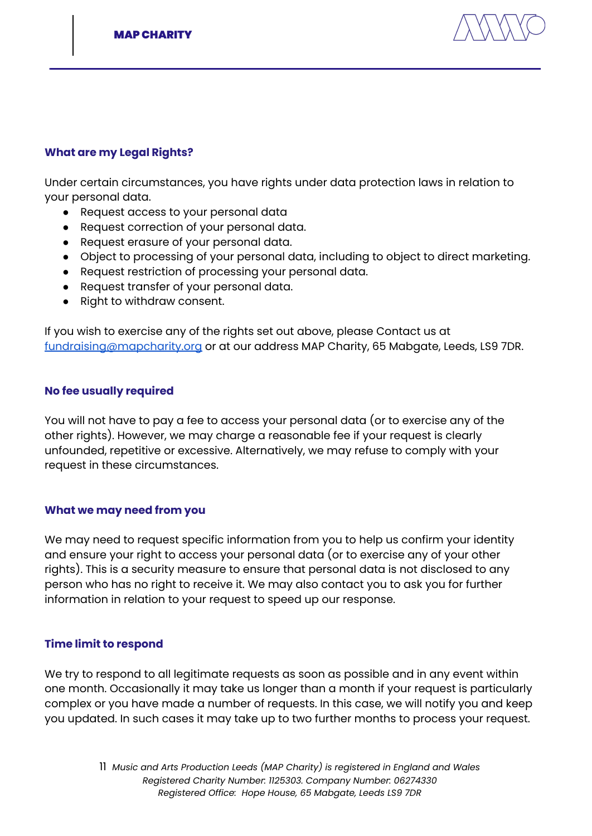

#### **What are my Legal Rights?**

Under certain circumstances, you have rights under data protection laws in relation to your personal data.

- Request access to your personal data
- Request correction of your personal data.
- Request erasure of your personal data.
- Object to processing of your personal data, including to object to direct marketing.
- Request restriction of processing your personal data.
- Request transfer of your personal data.
- Right to withdraw consent.

If you wish to exercise any of the rights set out above, please Contact us at [fundraising@mapcharity.org](mailto:fundraising@mapcharity.org) or at our address MAP Charity, 65 Mabgate, Leeds, LS9 7DR.

#### **No fee usually required**

You will not have to pay a fee to access your personal data (or to exercise any of the other rights). However, we may charge a reasonable fee if your request is clearly unfounded, repetitive or excessive. Alternatively, we may refuse to comply with your request in these circumstances.

#### **What we may need from you**

We may need to request specific information from you to help us confirm your identity and ensure your right to access your personal data (or to exercise any of your other rights). This is a security measure to ensure that personal data is not disclosed to any person who has no right to receive it. We may also contact you to ask you for further information in relation to your request to speed up our response.

#### **Time limit to respond**

We try to respond to all legitimate requests as soon as possible and in any event within one month. Occasionally it may take us longer than a month if your request is particularly complex or you have made a number of requests. In this case, we will notify you and keep you updated. In such cases it may take up to two further months to process your request.